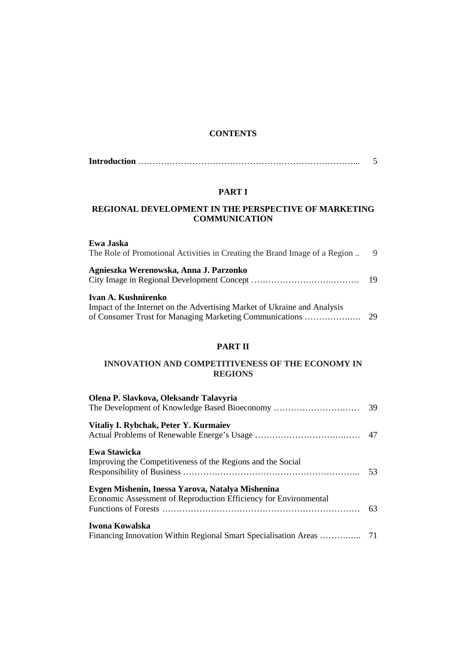### **CONTENTS**

#### **PART I**

### **REGIONAL DEVELOPMENT IN THE PERSPECTIVE OF MARKETING COMMUNICATION**

| Ewa Jaska<br>The Role of Promotional Activities in Creating the Brand Image of a Region                                                                    | 9  |
|------------------------------------------------------------------------------------------------------------------------------------------------------------|----|
| Agnieszka Werenowska, Anna J. Parzonko                                                                                                                     |    |
| Ivan A. Kushnirenko<br>Impact of the Internet on the Advertising Market of Ukraine and Analysis<br>of Consumer Trust for Managing Marketing Communications | 29 |

### **PART II**

#### **INNOVATION AND COMPETITIVENESS OF THE ECONOMY IN REGIONS**

| Olena P. Slavkova, Oleksandr Talavyria<br>The Development of Knowledge Based Bioeconomy                              | 39  |
|----------------------------------------------------------------------------------------------------------------------|-----|
| Vitaliy I. Rybchak, Peter Y. Kurmaiev                                                                                |     |
| Ewa Stawicka<br>Improving the Competitiveness of the Regions and the Social                                          | .53 |
| Evgen Mishenin, Inessa Yarova, Natalya Mishenina<br>Economic Assessment of Reproduction Efficiency for Environmental | 63  |
| Iwona Kowalska                                                                                                       |     |